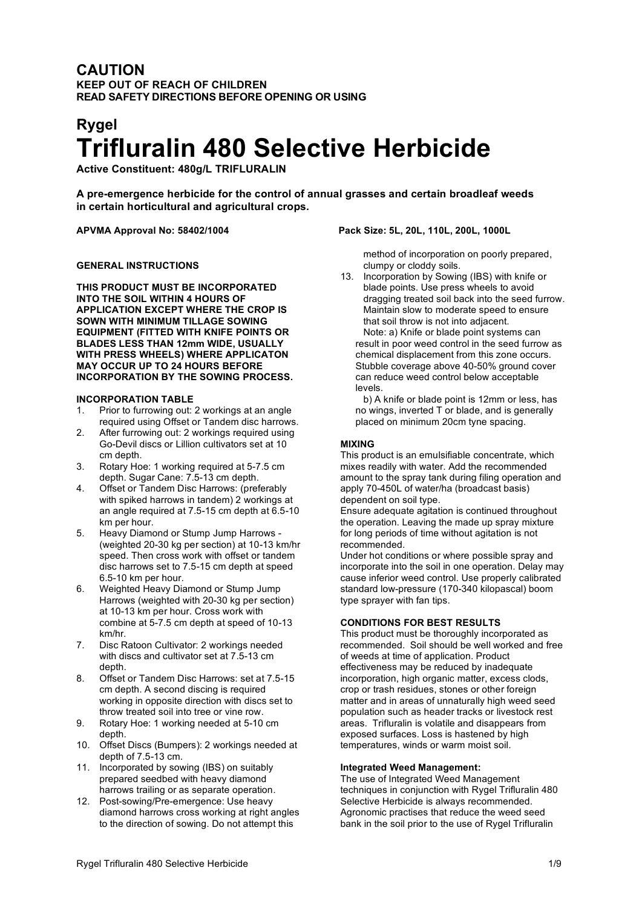# **CAUTION KEEP OUT OF REACH OF CHILDREN READ SAFETY DIRECTIONS BEFORE OPENING OR USING**

# **Rygel Trifluralin 480 Selective Herbicide**

**Active Constituent: 480g/L TRIFLURALIN**

**A pre-emergence herbicide for the control of annual grasses and certain broadleaf weeds in certain horticultural and agricultural crops.**

# **GENERAL INSTRUCTIONS**

**THIS PRODUCT MUST BE INCORPORATED INTO THE SOIL WITHIN 4 HOURS OF APPLICATION EXCEPT WHERE THE CROP IS SOWN WITH MINIMUM TILLAGE SOWING EQUIPMENT (FITTED WITH KNIFE POINTS OR BLADES LESS THAN 12mm WIDE, USUALLY WITH PRESS WHEELS) WHERE APPLICATON MAY OCCUR UP TO 24 HOURS BEFORE INCORPORATION BY THE SOWING PROCESS.**

## **INCORPORATION TABLE**

- 1. Prior to furrowing out: 2 workings at an angle required using Offset or Tandem disc harrows.
- 2. After furrowing out: 2 workings required using Go-Devil discs or Lillion cultivators set at 10 cm depth.
- 3. Rotary Hoe: 1 working required at 5-7.5 cm depth. Sugar Cane: 7.5-13 cm depth.
- 4. Offset or Tandem Disc Harrows: (preferably with spiked harrows in tandem) 2 workings at an angle required at 7.5-15 cm depth at 6.5-10 km per hour.
- 5. Heavy Diamond or Stump Jump Harrows (weighted 20-30 kg per section) at 10-13 km/hr speed. Then cross work with offset or tandem disc harrows set to 7.5-15 cm depth at speed 6.5-10 km per hour.
- 6. Weighted Heavy Diamond or Stump Jump Harrows (weighted with 20-30 kg per section) at 10-13 km per hour. Cross work with combine at 5-7.5 cm depth at speed of 10-13 km/hr.
- 7. Disc Ratoon Cultivator: 2 workings needed with discs and cultivator set at 7.5-13 cm depth.
- 8. Offset or Tandem Disc Harrows: set at 7.5-15 cm depth. A second discing is required working in opposite direction with discs set to throw treated soil into tree or vine row.
- 9. Rotary Hoe: 1 working needed at 5-10 cm depth.
- 10. Offset Discs (Bumpers): 2 workings needed at depth of 7.5-13 cm.
- 11. Incorporated by sowing (IBS) on suitably prepared seedbed with heavy diamond harrows trailing or as separate operation.
- 12. Post-sowing/Pre-emergence: Use heavy diamond harrows cross working at right angles to the direction of sowing. Do not attempt this

# **APVMA Approval No: 58402/1004 Pack Size: 5L, 20L, 110L, 200L, 1000L**

method of incorporation on poorly prepared, clumpy or cloddy soils.

13. Incorporation by Sowing (IBS) with knife or blade points. Use press wheels to avoid dragging treated soil back into the seed furrow. Maintain slow to moderate speed to ensure that soil throw is not into adjacent. Note: a) Knife or blade point systems can result in poor weed control in the seed furrow as chemical displacement from this zone occurs. Stubble coverage above 40-50% ground cover can reduce weed control below acceptable levels.

b) A knife or blade point is 12mm or less, has no wings, inverted T or blade, and is generally placed on minimum 20cm tyne spacing.

## **MIXING**

This product is an emulsifiable concentrate, which mixes readily with water. Add the recommended amount to the spray tank during filing operation and apply 70-450L of water/ha (broadcast basis) dependent on soil type.

Ensure adequate agitation is continued throughout the operation. Leaving the made up spray mixture for long periods of time without agitation is not recommended.

Under hot conditions or where possible spray and incorporate into the soil in one operation. Delay may cause inferior weed control. Use properly calibrated standard low-pressure (170-340 kilopascal) boom type sprayer with fan tips.

# **CONDITIONS FOR BEST RESULTS**

This product must be thoroughly incorporated as recommended. Soil should be well worked and free of weeds at time of application. Product effectiveness may be reduced by inadequate incorporation, high organic matter, excess clods, crop or trash residues, stones or other foreign matter and in areas of unnaturally high weed seed population such as header tracks or livestock rest areas. Trifluralin is volatile and disappears from exposed surfaces. Loss is hastened by high temperatures, winds or warm moist soil.

# **Integrated Weed Management:**

The use of Integrated Weed Management techniques in conjunction with Rygel Trifluralin 480 Selective Herbicide is always recommended. Agronomic practises that reduce the weed seed bank in the soil prior to the use of Rygel Trifluralin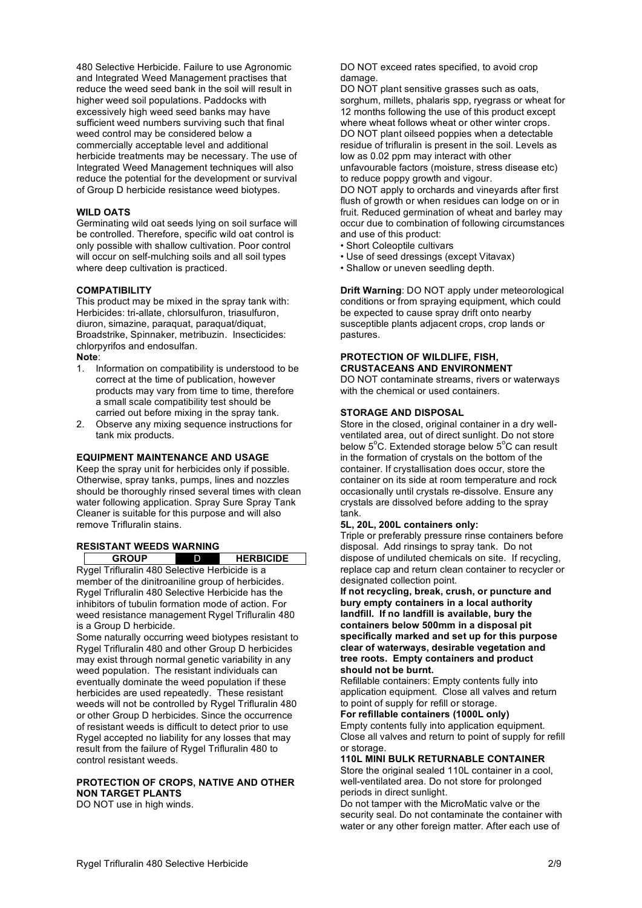480 Selective Herbicide. Failure to use Agronomic and Integrated Weed Management practises that reduce the weed seed bank in the soil will result in higher weed soil populations. Paddocks with excessively high weed seed banks may have sufficient weed numbers surviving such that final weed control may be considered below a commercially acceptable level and additional herbicide treatments may be necessary. The use of Integrated Weed Management techniques will also reduce the potential for the development or survival of Group D herbicide resistance weed biotypes.

#### **WILD OATS**

Germinating wild oat seeds lying on soil surface will be controlled. Therefore, specific wild oat control is only possible with shallow cultivation. Poor control will occur on self-mulching soils and all soil types where deep cultivation is practiced.

#### **COMPATIBILITY**

This product may be mixed in the spray tank with: Herbicides: tri-allate, chlorsulfuron, triasulfuron, diuron, simazine, paraquat, paraquat/diquat, Broadstrike, Spinnaker, metribuzin. Insecticides: chlorpyrifos and endosulfan. **Note**:

1. Information on compatibility is understood to be correct at the time of publication, however products may vary from time to time, therefore a small scale compatibility test should be carried out before mixing in the spray tank.

2. Observe any mixing sequence instructions for tank mix products.

#### **EQUIPMENT MAINTENANCE AND USAGE**

Keep the spray unit for herbicides only if possible. Otherwise, spray tanks, pumps, lines and nozzles should be thoroughly rinsed several times with clean water following application. Spray Sure Spray Tank Cleaner is suitable for this purpose and will also remove Trifluralin stains.

# **RESISTANT WEEDS WARNING**

**GROUP** D **HERBICIDE**

Rygel Trifluralin 480 Selective Herbicide is a member of the dinitroaniline group of herbicides. Rygel Trifluralin 480 Selective Herbicide has the inhibitors of tubulin formation mode of action. For weed resistance management Rygel Trifluralin 480 is a Group D herbicide.

Some naturally occurring weed biotypes resistant to Rygel Trifluralin 480 and other Group D herbicides may exist through normal genetic variability in any weed population. The resistant individuals can eventually dominate the weed population if these herbicides are used repeatedly. These resistant weeds will not be controlled by Rygel Trifluralin 480 or other Group D herbicides. Since the occurrence of resistant weeds is difficult to detect prior to use Rygel accepted no liability for any losses that may result from the failure of Rygel Trifluralin 480 to control resistant weeds.

# **PROTECTION OF CROPS, NATIVE AND OTHER NON TARGET PLANTS**

DO NOT use in high winds.

DO NOT exceed rates specified, to avoid crop damage.

DO NOT plant sensitive grasses such as oats, sorghum, millets, phalaris spp, ryegrass or wheat for 12 months following the use of this product except where wheat follows wheat or other winter crops. DO NOT plant oilseed poppies when a detectable residue of trifluralin is present in the soil. Levels as low as 0.02 ppm may interact with other unfavourable factors (moisture, stress disease etc) to reduce poppy growth and vigour.

DO NOT apply to orchards and vineyards after first flush of growth or when residues can lodge on or in fruit. Reduced germination of wheat and barley may occur due to combination of following circumstances and use of this product:

- Short Coleoptile cultivars
- Use of seed dressings (except Vitavax)
- Shallow or uneven seedling depth.

**Drift Warning**: DO NOT apply under meteorological conditions or from spraying equipment, which could be expected to cause spray drift onto nearby susceptible plants adjacent crops, crop lands or pastures.

# **PROTECTION OF WILDLIFE, FISH, CRUSTACEANS AND ENVIRONMENT**

DO NOT contaminate streams, rivers or waterways with the chemical or used containers.

#### **STORAGE AND DISPOSAL**

Store in the closed, original container in a dry wellventilated area, out of direct sunlight. Do not store below 5°C. Extended storage below 5°C can result in the formation of crystals on the bottom of the container. If crystallisation does occur, store the container on its side at room temperature and rock occasionally until crystals re-dissolve. Ensure any crystals are dissolved before adding to the spray tank.

#### **5L, 20L, 200L containers only:**

Triple or preferably pressure rinse containers before disposal. Add rinsings to spray tank. Do not dispose of undiluted chemicals on site. If recycling, replace cap and return clean container to recycler or designated collection point.

**If not recycling, break, crush, or puncture and bury empty containers in a local authority landfill. If no landfill is available, bury the containers below 500mm in a disposal pit specifically marked and set up for this purpose clear of waterways, desirable vegetation and tree roots. Empty containers and product should not be burnt.**

Refillable containers: Empty contents fully into application equipment. Close all valves and return to point of supply for refill or storage.

**For refillable containers (1000L only)** Empty contents fully into application equipment. Close all valves and return to point of supply for refill or storage.

#### **110L MINI BULK RETURNABLE CONTAINER**

Store the original sealed 110L container in a cool, well-ventilated area. Do not store for prolonged periods in direct sunlight.

Do not tamper with the MicroMatic valve or the security seal. Do not contaminate the container with water or any other foreign matter. After each use of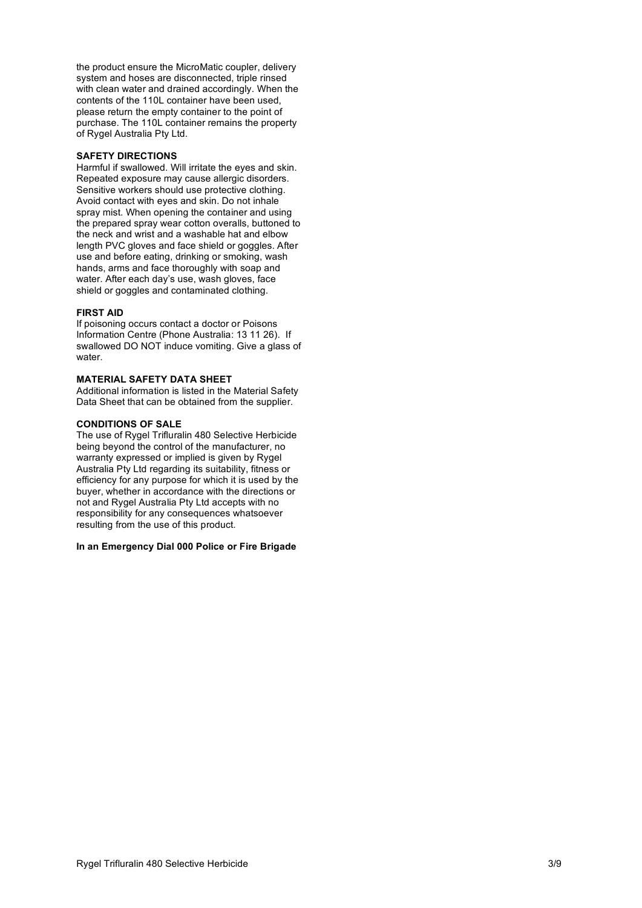the product ensure the MicroMatic coupler, delivery system and hoses are disconnected, triple rinsed with clean water and drained accordingly. When the contents of the 110L container have been used, please return the empty container to the point of purchase. The 110L container remains the property of Rygel Australia Pty Ltd.

## **SAFETY DIRECTIONS**

Harmful if swallowed. Will irritate the eyes and skin. Repeated exposure may cause allergic disorders. Sensitive workers should use protective clothing. Avoid contact with eyes and skin. Do not inhale spray mist. When opening the container and using the prepared spray wear cotton overalls, buttoned to the neck and wrist and a washable hat and elbow length PVC gloves and face shield or goggles. After use and before eating, drinking or smoking, wash hands, arms and face thoroughly with soap and water. After each day's use, wash gloves, face shield or goggles and contaminated clothing.

#### **FIRST AID**

If poisoning occurs contact a doctor or Poisons Information Centre (Phone Australia: 13 11 26). If swallowed DO NOT induce vomiting. Give a glass of water.

#### **MATERIAL SAFETY DATA SHEET**

Additional information is listed in the Material Safety Data Sheet that can be obtained from the supplier.

## **CONDITIONS OF SALE**

The use of Rygel Trifluralin 480 Selective Herbicide being beyond the control of the manufacturer, no warranty expressed or implied is given by Rygel Australia Pty Ltd regarding its suitability, fitness or efficiency for any purpose for which it is used by the buyer, whether in accordance with the directions or not and Rygel Australia Pty Ltd accepts with no responsibility for any consequences whatsoever resulting from the use of this product.

#### **In an Emergency Dial 000 Police or Fire Brigade**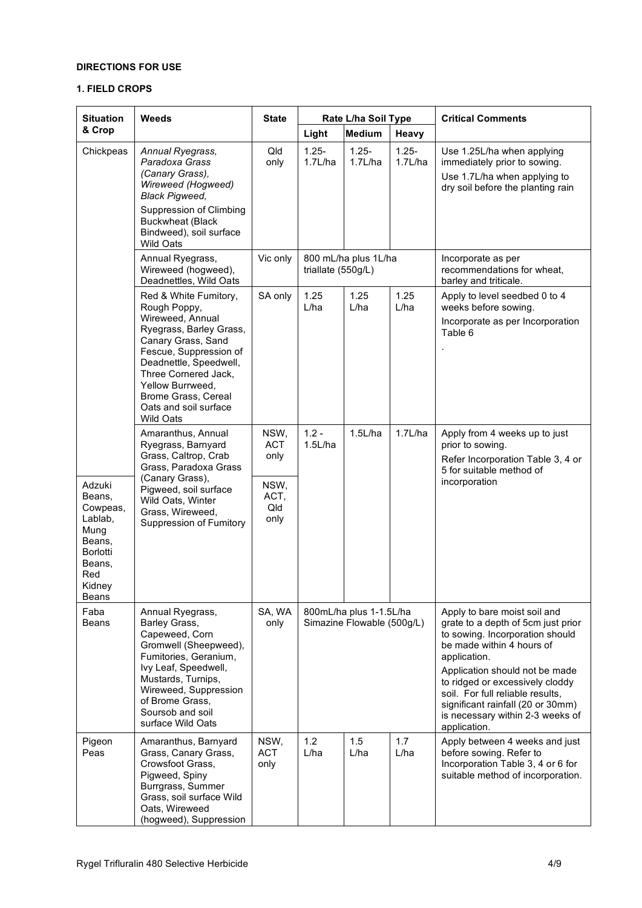# **DIRECTIONS FOR USE**

# **1. FIELD CROPS**

| <b>Situation</b>                                                                                                 | Weeds                                                                                                                                                                                                                                                                          | <b>State</b>                | Rate L/ha Soil Type                                   |                      |                     | <b>Critical Comments</b>                                                                                                                                                                                                                                                                                                                             |
|------------------------------------------------------------------------------------------------------------------|--------------------------------------------------------------------------------------------------------------------------------------------------------------------------------------------------------------------------------------------------------------------------------|-----------------------------|-------------------------------------------------------|----------------------|---------------------|------------------------------------------------------------------------------------------------------------------------------------------------------------------------------------------------------------------------------------------------------------------------------------------------------------------------------------------------------|
| & Crop                                                                                                           |                                                                                                                                                                                                                                                                                |                             | Light                                                 | <b>Medium</b>        | Heavy               |                                                                                                                                                                                                                                                                                                                                                      |
| Chickpeas                                                                                                        | Annual Ryegrass,<br>Paradoxa Grass<br>(Canary Grass),<br>Wireweed (Hogweed)<br><b>Black Pigweed,</b><br>Suppression of Climbing<br><b>Buckwheat (Black</b><br>Bindweed), soil surface<br><b>Wild Oats</b>                                                                      | Qld<br>only                 | $1.25 -$<br>1.7L/ha                                   | $1.25 -$<br>1.7L/ha  | $1.25 -$<br>1.7L/ha | Use 1.25L/ha when applying<br>immediately prior to sowing.<br>Use 1.7L/ha when applying to<br>dry soil before the planting rain                                                                                                                                                                                                                      |
|                                                                                                                  | Annual Ryegrass,<br>Wireweed (hogweed),<br>Deadnettles, Wild Oats                                                                                                                                                                                                              | Vic only                    | triallate (550g/L)                                    | 800 mL/ha plus 1L/ha |                     | Incorporate as per<br>recommendations for wheat,<br>barley and triticale.                                                                                                                                                                                                                                                                            |
|                                                                                                                  | Red & White Fumitory,<br>Rough Poppy,<br>Wireweed, Annual<br>Ryegrass, Barley Grass,<br>Canary Grass, Sand<br>Fescue, Suppression of<br>Deadnettle, Speedwell,<br>Three Cornered Jack,<br>Yellow Burrweed,<br>Brome Grass, Cereal<br>Oats and soil surface<br><b>Wild Oats</b> | SA only                     | 1.25<br>L/ha                                          | 1.25<br>L/ha         | 1.25<br>L/ha        | Apply to level seedbed 0 to 4<br>weeks before sowing.<br>Incorporate as per Incorporation<br>Table 6                                                                                                                                                                                                                                                 |
|                                                                                                                  | Amaranthus, Annual<br>Ryegrass, Barnyard<br>Grass, Caltrop, Crab<br>Grass, Paradoxa Grass<br>(Canary Grass),                                                                                                                                                                   | NSW,<br><b>ACT</b><br>only  | $1.2 -$<br>1.5L/ha                                    | 1.5L/ha              | 1.7L/ha             | Apply from 4 weeks up to just<br>prior to sowing.<br>Refer Incorporation Table 3, 4 or<br>5 for suitable method of<br>incorporation                                                                                                                                                                                                                  |
| Adzuki<br>Beans,<br>Cowpeas,<br>Lablab,<br>Mung<br>Beans,<br><b>Borlotti</b><br>Beans,<br>Red<br>Kidney<br>Beans | Pigweed, soil surface<br>Wild Oats, Winter<br>Grass, Wireweed,<br>Suppression of Fumitory                                                                                                                                                                                      | NSW,<br>ACT,<br>Qld<br>only |                                                       |                      |                     |                                                                                                                                                                                                                                                                                                                                                      |
| Faba<br>Beans                                                                                                    | Annual Ryegrass,<br>Barley Grass,<br>Capeweed, Corn<br>Gromwell (Sheepweed),<br>Fumitories, Geranium,<br>Ivy Leaf, Speedwell,<br>Mustards, Turnips,<br>Wireweed, Suppression<br>of Brome Grass,<br>Soursob and soil<br>surface Wild Oats                                       | SA, WA<br>only              | 800mL/ha plus 1-1.5L/ha<br>Simazine Flowable (500g/L) |                      |                     | Apply to bare moist soil and<br>grate to a depth of 5cm just prior<br>to sowing. Incorporation should<br>be made within 4 hours of<br>application.<br>Application should not be made<br>to ridged or excessively cloddy<br>soil. For full reliable results,<br>significant rainfall (20 or 30mm)<br>is necessary within 2-3 weeks of<br>application. |
| Pigeon<br>Peas                                                                                                   | Amaranthus, Barnyard<br>Grass, Canary Grass,<br>Crowsfoot Grass,<br>Pigweed, Spiny<br>Burrgrass, Summer<br>Grass, soil surface Wild<br>Oats, Wireweed<br>(hogweed), Suppression                                                                                                | NSW,<br><b>ACT</b><br>only  | 1.2<br>L/ha                                           | 1.5<br>L/ha          | 1.7<br>L/ha         | Apply between 4 weeks and just<br>before sowing. Refer to<br>Incorporation Table 3, 4 or 6 for<br>suitable method of incorporation.                                                                                                                                                                                                                  |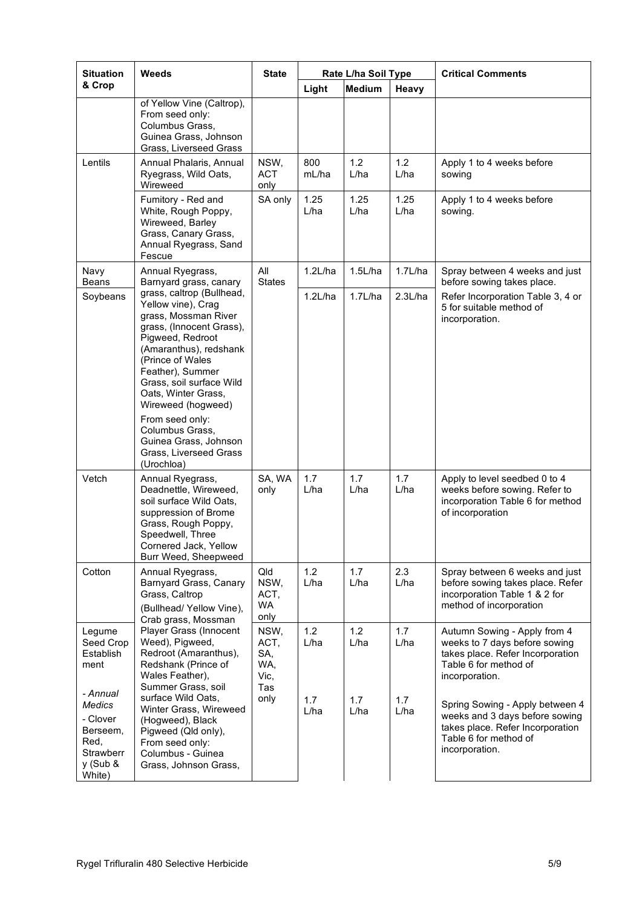| <b>Situation</b>                                                                      | Weeds                                                                                                                                                                                                                                                              | <b>State</b>                              | Rate L/ha Soil Type |               |              | <b>Critical Comments</b>                                                                                                                         |
|---------------------------------------------------------------------------------------|--------------------------------------------------------------------------------------------------------------------------------------------------------------------------------------------------------------------------------------------------------------------|-------------------------------------------|---------------------|---------------|--------------|--------------------------------------------------------------------------------------------------------------------------------------------------|
| & Crop                                                                                |                                                                                                                                                                                                                                                                    |                                           | Light               | Medium        | Heavy        |                                                                                                                                                  |
|                                                                                       | of Yellow Vine (Caltrop),<br>From seed only:<br>Columbus Grass,<br>Guinea Grass, Johnson<br>Grass, Liverseed Grass                                                                                                                                                 |                                           |                     |               |              |                                                                                                                                                  |
| Lentils                                                                               | Annual Phalaris, Annual<br>Ryegrass, Wild Oats,<br>Wireweed                                                                                                                                                                                                        | NSW,<br><b>ACT</b><br>only                | 800<br>mL/ha        | $1.2$<br>L/ha | 1.2<br>L/ha  | Apply 1 to 4 weeks before<br>sowing                                                                                                              |
|                                                                                       | Fumitory - Red and<br>White, Rough Poppy,<br>Wireweed, Barley<br>Grass, Canary Grass,<br>Annual Ryegrass, Sand<br>Fescue                                                                                                                                           | SA only                                   | 1.25<br>L/ha        | 1.25<br>L/ha  | 1.25<br>L/ha | Apply 1 to 4 weeks before<br>sowing.                                                                                                             |
| Navy<br><b>Beans</b>                                                                  | Annual Ryegrass,<br>Barnyard grass, canary                                                                                                                                                                                                                         | All<br><b>States</b>                      | 1.2L/ha             | 1.5L/ha       | 1.7L/ha      | Spray between 4 weeks and just<br>before sowing takes place.                                                                                     |
| Soybeans                                                                              | grass, caltrop (Bullhead,<br>Yellow vine), Crag<br>grass, Mossman River<br>grass, (Innocent Grass),<br>Pigweed, Redroot<br>(Amaranthus), redshank<br>(Prince of Wales<br>Feather), Summer<br>Grass, soil surface Wild<br>Oats, Winter Grass,<br>Wireweed (hogweed) |                                           | 1.2L/ha             | 1.7L/ha       | 2.3L/ha      | Refer Incorporation Table 3, 4 or<br>5 for suitable method of<br>incorporation.                                                                  |
|                                                                                       | From seed only:<br>Columbus Grass,<br>Guinea Grass, Johnson<br>Grass, Liverseed Grass<br>(Urochloa)                                                                                                                                                                |                                           |                     |               |              |                                                                                                                                                  |
| Vetch                                                                                 | Annual Ryegrass,<br>Deadnettle, Wireweed,<br>soil surface Wild Oats,<br>suppression of Brome<br>Grass, Rough Poppy,<br>Speedwell, Three<br>Cornered Jack, Yellow<br>Burr Weed, Sheepweed                                                                           | SA, WA<br>only                            | 1.7<br>L/ha         | 1.7<br>L/ha   | 1.7<br>L/ha  | Apply to level seedbed 0 to 4<br>weeks before sowing. Refer to<br>incorporation Table 6 for method<br>of incorporation                           |
| Cotton                                                                                | Annual Ryegrass,<br>Barnyard Grass, Canary<br>Grass, Caltrop<br>(Bullhead/Yellow Vine),<br>Crab grass, Mossman                                                                                                                                                     | Qld<br>NSW,<br>ACT,<br>WA<br>only         | 1.2<br>L/ha         | 1.7<br>L/ha   | 2.3<br>L/ha  | Spray between 6 weeks and just<br>before sowing takes place. Refer<br>incorporation Table 1 & 2 for<br>method of incorporation                   |
| Legume<br>Seed Crop<br>Establish<br>ment                                              | Player Grass (Innocent<br>Weed), Pigweed,<br>Redroot (Amaranthus),<br>Redshank (Prince of<br>Wales Feather),<br>Summer Grass, soil                                                                                                                                 | NSW,<br>ACT,<br>SA,<br>WA,<br>Vic,<br>Tas | 1.2<br>L/ha         | 1.2<br>L/ha   | 1.7<br>L/ha  | Autumn Sowing - Apply from 4<br>weeks to 7 days before sowing<br>takes place. Refer Incorporation<br>Table 6 for method of<br>incorporation.     |
| - Annual<br>Medics<br>- Clover<br>Berseem,<br>Red,<br>Strawberr<br>y (Sub &<br>White) | surface Wild Oats,<br>Winter Grass, Wireweed<br>(Hogweed), Black<br>Pigweed (Qld only),<br>From seed only:<br>Columbus - Guinea<br>Grass, Johnson Grass,                                                                                                           | only                                      | 1.7<br>L/ha         | 1.7<br>L/ha   | 1.7<br>L/ha  | Spring Sowing - Apply between 4<br>weeks and 3 days before sowing<br>takes place. Refer Incorporation<br>Table 6 for method of<br>incorporation. |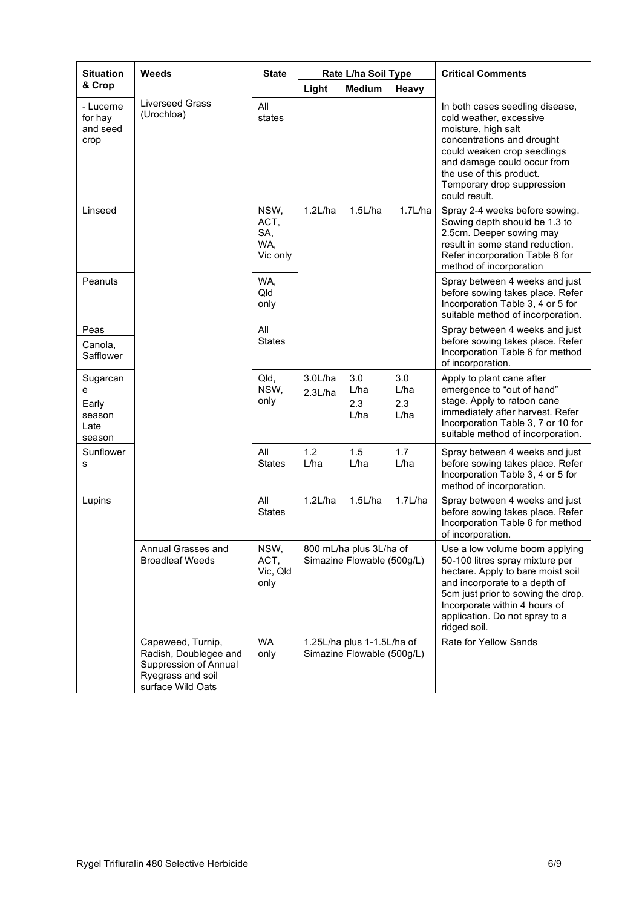| <b>Situation</b>                                   | Weeds                                                                                                         | <b>State</b>                                                                              | Rate L/ha Soil Type |                                                          |                                                                                                                                                                                                                                                                  | <b>Critical Comments</b>                                                                                                                                                                                                                                 |
|----------------------------------------------------|---------------------------------------------------------------------------------------------------------------|-------------------------------------------------------------------------------------------|---------------------|----------------------------------------------------------|------------------------------------------------------------------------------------------------------------------------------------------------------------------------------------------------------------------------------------------------------------------|----------------------------------------------------------------------------------------------------------------------------------------------------------------------------------------------------------------------------------------------------------|
| & Crop                                             |                                                                                                               |                                                                                           | Light               | <b>Medium</b>                                            | Heavy                                                                                                                                                                                                                                                            |                                                                                                                                                                                                                                                          |
| - Lucerne<br>for hay<br>and seed<br>crop           | <b>Liverseed Grass</b><br>(Urochloa)                                                                          | All<br>states                                                                             |                     |                                                          |                                                                                                                                                                                                                                                                  | In both cases seedling disease,<br>cold weather, excessive<br>moisture, high salt<br>concentrations and drought<br>could weaken crop seedlings<br>and damage could occur from<br>the use of this product.<br>Temporary drop suppression<br>could result. |
| Linseed                                            |                                                                                                               | NSW,<br>ACT,<br>SA,<br>WA,<br>Vic only                                                    | 1.2L/ha             | 1.5L/ha                                                  | 1.7L/ha                                                                                                                                                                                                                                                          | Spray 2-4 weeks before sowing.<br>Sowing depth should be 1.3 to<br>2.5cm. Deeper sowing may<br>result in some stand reduction.<br>Refer incorporation Table 6 for<br>method of incorporation                                                             |
| Peanuts                                            |                                                                                                               | WA,<br>Qld<br>only                                                                        |                     |                                                          |                                                                                                                                                                                                                                                                  | Spray between 4 weeks and just<br>before sowing takes place. Refer<br>Incorporation Table 3, 4 or 5 for<br>suitable method of incorporation.                                                                                                             |
| Peas<br>Canola,<br>Safflower                       |                                                                                                               | All<br><b>States</b>                                                                      |                     |                                                          |                                                                                                                                                                                                                                                                  | Spray between 4 weeks and just<br>before sowing takes place. Refer<br>Incorporation Table 6 for method<br>of incorporation.                                                                                                                              |
| Sugarcan<br>e<br>Early<br>season<br>Late<br>season |                                                                                                               | Qld,<br>NSW,<br>only                                                                      | 3.0L/ha<br>2.3L/ha  | 3.0<br>L/ha<br>2.3<br>L/ha                               | 3.0<br>L/ha<br>2.3<br>L/ha                                                                                                                                                                                                                                       | Apply to plant cane after<br>emergence to "out of hand"<br>stage. Apply to ratoon cane<br>immediately after harvest. Refer<br>Incorporation Table 3, 7 or 10 for<br>suitable method of incorporation.                                                    |
| Sunflower<br>s                                     |                                                                                                               | All<br><b>States</b>                                                                      | 1.2<br>L/ha         | 1.5<br>L/ha                                              | 1.7<br>L/ha                                                                                                                                                                                                                                                      | Spray between 4 weeks and just<br>before sowing takes place. Refer<br>Incorporation Table 3, 4 or 5 for<br>method of incorporation.                                                                                                                      |
| Lupins                                             |                                                                                                               | All<br><b>States</b>                                                                      | 1.2L/ha             | 1.5L/ha                                                  | 1.7L/ha                                                                                                                                                                                                                                                          | Spray between 4 weeks and just<br>before sowing takes place. Refer<br>Incorporation Table 6 for method<br>of incorporation.                                                                                                                              |
|                                                    | Annual Grasses and<br><b>Broadleaf Weeds</b>                                                                  | NSW,<br>800 mL/ha plus 3L/ha of<br>ACT,<br>Simazine Flowable (500g/L)<br>Vic, Qld<br>only |                     |                                                          | Use a low volume boom applying<br>50-100 litres spray mixture per<br>hectare. Apply to bare moist soil<br>and incorporate to a depth of<br>5cm just prior to sowing the drop.<br>Incorporate within 4 hours of<br>application. Do not spray to a<br>ridged soil. |                                                                                                                                                                                                                                                          |
|                                                    | Capeweed, Turnip,<br>Radish, Doublegee and<br>Suppression of Annual<br>Ryegrass and soil<br>surface Wild Oats | WA<br>only                                                                                |                     | 1.25L/ha plus 1-1.5L/ha of<br>Simazine Flowable (500g/L) |                                                                                                                                                                                                                                                                  | Rate for Yellow Sands                                                                                                                                                                                                                                    |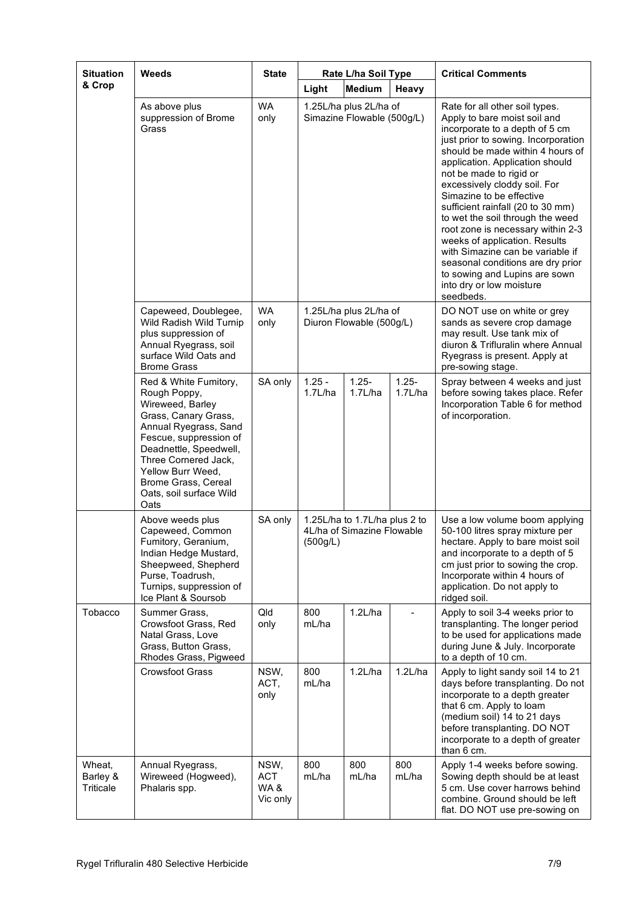| <b>Situation</b><br>& Crop      | Weeds                                                                                                                                                                                                                                                                 | <b>State</b>                          | Light                                                                   | Rate L/ha Soil Type<br><b>Medium</b>                 | Heavy               | <b>Critical Comments</b>                                                                                                                                                                                                                                                                                                                                                                                                                                                                                                                                                                                |
|---------------------------------|-----------------------------------------------------------------------------------------------------------------------------------------------------------------------------------------------------------------------------------------------------------------------|---------------------------------------|-------------------------------------------------------------------------|------------------------------------------------------|---------------------|---------------------------------------------------------------------------------------------------------------------------------------------------------------------------------------------------------------------------------------------------------------------------------------------------------------------------------------------------------------------------------------------------------------------------------------------------------------------------------------------------------------------------------------------------------------------------------------------------------|
|                                 | As above plus<br>suppression of Brome<br>Grass                                                                                                                                                                                                                        | <b>WA</b><br>only                     |                                                                         | 1.25L/ha plus 2L/ha of<br>Simazine Flowable (500g/L) |                     | Rate for all other soil types.<br>Apply to bare moist soil and<br>incorporate to a depth of 5 cm<br>just prior to sowing. Incorporation<br>should be made within 4 hours of<br>application. Application should<br>not be made to rigid or<br>excessively cloddy soil. For<br>Simazine to be effective<br>sufficient rainfall (20 to 30 mm)<br>to wet the soil through the weed<br>root zone is necessary within 2-3<br>weeks of application. Results<br>with Simazine can be variable if<br>seasonal conditions are dry prior<br>to sowing and Lupins are sown<br>into dry or low moisture<br>seedbeds. |
|                                 | Capeweed, Doublegee,<br>Wild Radish Wild Turnip<br>plus suppression of<br>Annual Ryegrass, soil<br>surface Wild Oats and<br><b>Brome Grass</b>                                                                                                                        | <b>WA</b><br>only                     | 1.25L/ha plus 2L/ha of<br>Diuron Flowable (500g/L)                      |                                                      |                     | DO NOT use on white or grey<br>sands as severe crop damage<br>may result. Use tank mix of<br>diuron & Trifluralin where Annual<br>Ryegrass is present. Apply at<br>pre-sowing stage.                                                                                                                                                                                                                                                                                                                                                                                                                    |
|                                 | Red & White Fumitory,<br>Rough Poppy,<br>Wireweed, Barley<br>Grass, Canary Grass,<br>Annual Ryegrass, Sand<br>Fescue, suppression of<br>Deadnettle, Speedwell,<br>Three Cornered Jack,<br>Yellow Burr Weed,<br>Brome Grass, Cereal<br>Oats, soil surface Wild<br>Oats | SA only                               | $1.25 -$<br>1.7L/ha                                                     | $1.25 -$<br>1.7L/ha                                  | $1.25 -$<br>1.7L/ha | Spray between 4 weeks and just<br>before sowing takes place. Refer<br>Incorporation Table 6 for method<br>of incorporation.                                                                                                                                                                                                                                                                                                                                                                                                                                                                             |
|                                 | Above weeds plus<br>Capeweed, Common<br>Fumitory, Geranium,<br>Indian Hedge Mustard,<br>Sheepweed, Shepherd<br>Purse, Toadrush,<br>Turnips, suppression of<br>Ice Plant & Soursob                                                                                     | SA only                               | 1.25L/ha to 1.7L/ha plus 2 to<br>4L/ha of Simazine Flowable<br>(500g/L) |                                                      |                     | Use a low volume boom applying<br>50-100 litres spray mixture per<br>hectare. Apply to bare moist soil<br>and incorporate to a depth of 5<br>cm just prior to sowing the crop.<br>Incorporate within 4 hours of<br>application. Do not apply to<br>ridged soil.                                                                                                                                                                                                                                                                                                                                         |
| Tobacco                         | Summer Grass,<br>Crowsfoot Grass, Red<br>Natal Grass, Love<br>Grass, Button Grass,<br>Rhodes Grass, Pigweed                                                                                                                                                           | Qld<br>only                           | 800<br>mL/ha                                                            | 1.2L/ha                                              |                     | Apply to soil 3-4 weeks prior to<br>transplanting. The longer period<br>to be used for applications made<br>during June & July. Incorporate<br>to a depth of 10 cm.                                                                                                                                                                                                                                                                                                                                                                                                                                     |
|                                 | <b>Crowsfoot Grass</b>                                                                                                                                                                                                                                                | NSW,<br>ACT,<br>only                  | 800<br>mL/ha                                                            | 1.2L/ha                                              | 1.2L/ha             | Apply to light sandy soil 14 to 21<br>days before transplanting. Do not<br>incorporate to a depth greater<br>that 6 cm. Apply to loam<br>(medium soil) 14 to 21 days<br>before transplanting. DO NOT<br>incorporate to a depth of greater<br>than 6 cm.                                                                                                                                                                                                                                                                                                                                                 |
| Wheat,<br>Barley &<br>Triticale | Annual Ryegrass,<br>Wireweed (Hogweed),<br>Phalaris spp.                                                                                                                                                                                                              | NSW,<br><b>ACT</b><br>WA&<br>Vic only | 800<br>mL/ha                                                            | 800<br>mL/ha                                         | 800<br>mL/ha        | Apply 1-4 weeks before sowing.<br>Sowing depth should be at least<br>5 cm. Use cover harrows behind<br>combine. Ground should be left<br>flat. DO NOT use pre-sowing on                                                                                                                                                                                                                                                                                                                                                                                                                                 |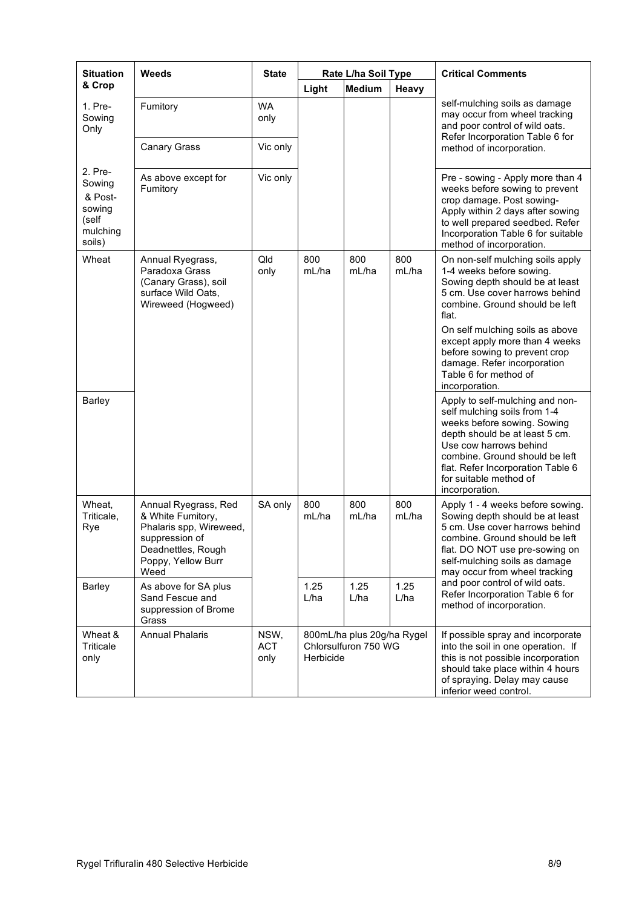| <b>Situation</b>                                                      | Weeds                                                                                                                                      | <b>State</b>                  | Rate L/ha Soil Type |                                                    |              | <b>Critical Comments</b>                                                                                                                                                                                                                                                                                                                   |
|-----------------------------------------------------------------------|--------------------------------------------------------------------------------------------------------------------------------------------|-------------------------------|---------------------|----------------------------------------------------|--------------|--------------------------------------------------------------------------------------------------------------------------------------------------------------------------------------------------------------------------------------------------------------------------------------------------------------------------------------------|
| & Crop                                                                |                                                                                                                                            |                               | Light               | <b>Medium</b>                                      | Heavy        |                                                                                                                                                                                                                                                                                                                                            |
| 1. Pre-<br>Sowing<br>Only                                             | Fumitory                                                                                                                                   | <b>WA</b><br>only<br>Vic only |                     |                                                    |              | self-mulching soils as damage<br>may occur from wheel tracking<br>and poor control of wild oats.<br>Refer Incorporation Table 6 for                                                                                                                                                                                                        |
|                                                                       | <b>Canary Grass</b>                                                                                                                        |                               |                     |                                                    |              | method of incorporation.                                                                                                                                                                                                                                                                                                                   |
| 2. Pre-<br>Sowing<br>& Post-<br>sowing<br>(self<br>mulching<br>soils) | As above except for<br>Fumitory                                                                                                            | Vic only                      |                     |                                                    |              | Pre - sowing - Apply more than 4<br>weeks before sowing to prevent<br>crop damage. Post sowing-<br>Apply within 2 days after sowing<br>to well prepared seedbed. Refer<br>Incorporation Table 6 for suitable<br>method of incorporation.                                                                                                   |
| Wheat                                                                 | Annual Ryegrass,<br>Paradoxa Grass<br>(Canary Grass), soil<br>surface Wild Oats,<br>Wireweed (Hogweed)                                     | Qld<br>only                   | 800<br>mL/ha        | 800<br>mL/ha                                       | 800<br>mL/ha | On non-self mulching soils apply<br>1-4 weeks before sowing.<br>Sowing depth should be at least<br>5 cm. Use cover harrows behind<br>combine. Ground should be left<br>flat.<br>On self mulching soils as above<br>except apply more than 4 weeks<br>before sowing to prevent crop<br>damage. Refer incorporation<br>Table 6 for method of |
| <b>Barley</b>                                                         |                                                                                                                                            |                               |                     |                                                    |              | incorporation.<br>Apply to self-mulching and non-<br>self mulching soils from 1-4<br>weeks before sowing. Sowing<br>depth should be at least 5 cm.<br>Use cow harrows behind<br>combine. Ground should be left<br>flat. Refer Incorporation Table 6<br>for suitable method of<br>incorporation.                                            |
| Wheat,<br>Triticale,<br>Rye                                           | Annual Ryegrass, Red<br>& White Fumitory,<br>Phalaris spp, Wireweed,<br>suppression of<br>Deadnettles, Rough<br>Poppy, Yellow Burr<br>Weed | SA only                       | 800<br>mL/ha        | 800<br>mL/ha                                       | 800<br>mL/ha | Apply 1 - 4 weeks before sowing.<br>Sowing depth should be at least<br>5 cm. Use cover harrows behind<br>combine. Ground should be left<br>flat. DO NOT use pre-sowing on<br>self-mulching soils as damage<br>may occur from wheel tracking                                                                                                |
| Barley                                                                | As above for SA plus<br>Sand Fescue and<br>suppression of Brome<br>Grass                                                                   |                               | 1.25<br>L/ha        | 1.25<br>L/ha                                       | 1.25<br>L/ha | and poor control of wild oats.<br>Refer Incorporation Table 6 for<br>method of incorporation.                                                                                                                                                                                                                                              |
| Wheat &<br>Triticale<br>only                                          | <b>Annual Phalaris</b>                                                                                                                     | NSW,<br><b>ACT</b><br>only    | Herbicide           | 800mL/ha plus 20g/ha Rygel<br>Chlorsulfuron 750 WG |              | If possible spray and incorporate<br>into the soil in one operation. If<br>this is not possible incorporation<br>should take place within 4 hours<br>of spraying. Delay may cause<br>inferior weed control.                                                                                                                                |